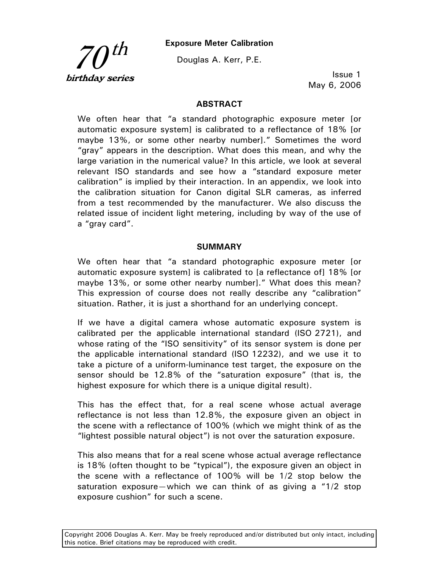**Exposure Meter Calibration** 



Douglas A. Kerr, P.E.

Issue 1 May 6, 2006

#### **ABSTRACT**

We often hear that "a standard photographic exposure meter [or automatic exposure system] is calibrated to a reflectance of 18% [or maybe 13%, or some other nearby number]." Sometimes the word "gray" appears in the description. What does this mean, and why the large variation in the numerical value? In this article, we look at several relevant ISO standards and see how a "standard exposure meter calibration" is implied by their interaction. In an appendix, we look into the calibration situation for Canon digital SLR cameras, as inferred from a test recommended by the manufacturer. We also discuss the related issue of incident light metering, including by way of the use of a "gray card".

#### **SUMMARY**

We often hear that "a standard photographic exposure meter [or automatic exposure system] is calibrated to [a reflectance of] 18% [or maybe 13%, or some other nearby number]." What does this mean? This expression of course does not really describe any "calibration" situation. Rather, it is just a shorthand for an underlying concept.

If we have a digital camera whose automatic exposure system is calibrated per the applicable international standard (ISO 2721), and whose rating of the "ISO sensitivity" of its sensor system is done per the applicable international standard (ISO 12232), and we use it to take a picture of a uniform-luminance test target, the exposure on the sensor should be 12.8% of the "saturation exposure" (that is, the highest exposure for which there is a unique digital result).

This has the effect that, for a real scene whose actual average reflectance is not less than 12.8%, the exposure given an object in the scene with a reflectance of 100% (which we might think of as the "lightest possible natural object") is not over the saturation exposure.

This also means that for a real scene whose actual average reflectance is 18% (often thought to be "typical"), the exposure given an object in the scene with a reflectance of 100% will be 1/2 stop below the saturation exposure—which we can think of as giving a "1/2 stop exposure cushion" for such a scene.

Copyright 2006 Douglas A. Kerr. May be freely reproduced and/or distributed but only intact, including this notice. Brief citations may be reproduced with credit.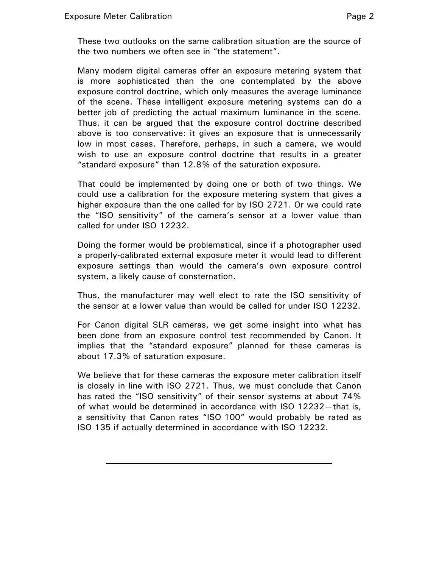These two outlooks on the same calibration situation are the source of the two numbers we often see in "the statement".

Many modern digital cameras offer an exposure metering system that is more sophisticated than the one contemplated by the above exposure control doctrine, which only measures the average luminance of the scene. These intelligent exposure metering systems can do a better job of predicting the actual maximum luminance in the scene. Thus, it can be argued that the exposure control doctrine described above is too conservative: it gives an exposure that is unnecessarily low in most cases. Therefore, perhaps, in such a camera, we would wish to use an exposure control doctrine that results in a greater "standard exposure" than 12.8% of the saturation exposure.

That could be implemented by doing one or both of two things. We could use a calibration for the exposure metering system that gives a higher exposure than the one called for by ISO 2721. Or we could rate the "ISO sensitivity" of the camera's sensor at a lower value than called for under ISO 12232.

Doing the former would be problematical, since if a photographer used a properly-calibrated external exposure meter it would lead to different exposure settings than would the camera's own exposure control system, a likely cause of consternation.

Thus, the manufacturer may well elect to rate the ISO sensitivity of the sensor at a lower value than would be called for under ISO 12232.

For Canon digital SLR cameras, we get some insight into what has been done from an exposure control test recommended by Canon. It implies that the "standard exposure" planned for these cameras is about 17.3% of saturation exposure.

We believe that for these cameras the exposure meter calibration itself is closely in line with ISO 2721. Thus, we must conclude that Canon has rated the "ISO sensitivity" of their sensor systems at about 74% of what would be determined in accordance with ISO 12232—that is, a sensitivity that Canon rates "ISO 100" would probably be rated as ISO 135 if actually determined in accordance with ISO 12232.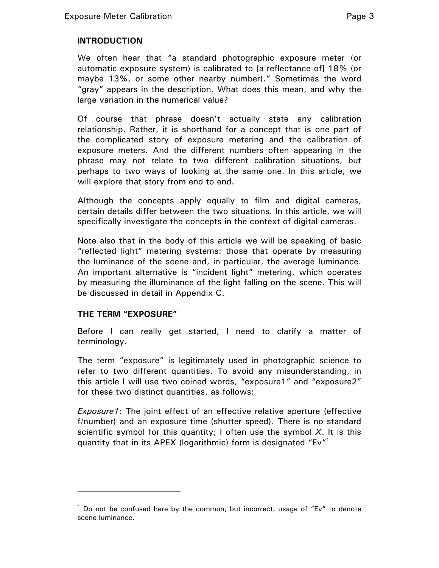# **INTRODUCTION**

We often hear that "a standard photographic exposure meter (or automatic exposure system) is calibrated to [a reflectance of] 18% (or maybe 13%, or some other nearby number)." Sometimes the word "gray" appears in the description. What does this mean, and why the large variation in the numerical value?

Of course that phrase doesn't actually state any calibration relationship. Rather, it is shorthand for a concept that is one part of the complicated story of exposure metering and the calibration of exposure meters. And the different numbers often appearing in the phrase may not relate to two different calibration situations, but perhaps to two ways of looking at the same one. In this article, we will explore that story from end to end.

Although the concepts apply equally to film and digital cameras, certain details differ between the two situations. In this article, we will specifically investigate the concepts in the context of digital cameras.

Note also that in the body of this article we will be speaking of basic "reflected light" metering systems: those that operate by measuring the luminance of the scene and, in particular, the average luminance. An important alternative is "incident light" metering, which operates by measuring the illuminance of the light falling on the scene. This will be discussed in detail in Appendix C.

## **THE TERM "EXPOSURE"**

 $\overline{a}$ 

Before I can really get started, I need to clarify a matter of terminology.

The term "exposure" is legitimately used in photographic science to refer to two different quantities. To avoid any misunderstanding, in this article I will use two coined words, "exposure1" and "exposure2" for these two distinct quantities, as follows:

*Exposure1*: The joint effect of an effective relative aperture (effective f/number) and an exposure time (shutter speed). There is no standard scientific symbol for this quantity; I often use the symbol *X*. It is this quantity that in its APEX (logarithmic) form is designated "Ev"<sup>1</sup>

<sup>&</sup>lt;sup>1</sup> Do not be confused here by the common, but incorrect, usage of "Ev" to denote scene luminance.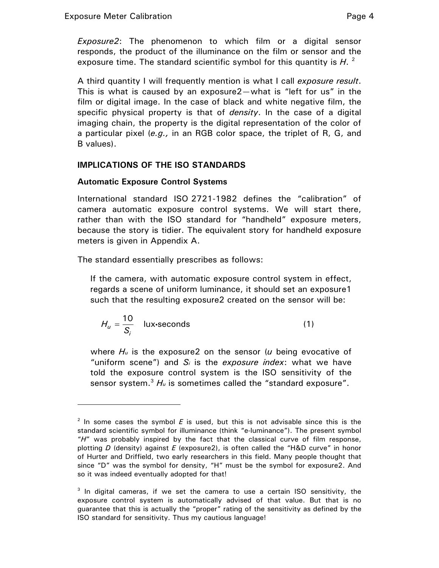$\overline{a}$ 

*Exposure2*: The phenomenon to which film or a digital sensor responds, the product of the illuminance on the film or sensor and the exposure time. The standard scientific symbol for this quantity is H.<sup>2</sup>

A third quantity I will frequently mention is what I call *exposure result*. This is what is caused by an exposure2—what is "left for us" in the film or digital image. In the case of black and white negative film, the specific physical property is that of *density*. In the case of a digital imaging chain, the property is the digital representation of the color of a particular pixel (*e.g.,* in an RGB color space, the triplet of R, G, and B values).

# **IMPLICATIONS OF THE ISO STANDARDS**

# **Automatic Exposure Control Systems**

International standard ISO 2721-1982 defines the "calibration" of camera automatic exposure control systems. We will start there, rather than with the ISO standard for "handheld" exposure meters, because the story is tidier. The equivalent story for handheld exposure meters is given in Appendix A.

The standard essentially prescribes as follows:

If the camera, with automatic exposure control system in effect, regards a scene of uniform luminance, it should set an exposure1 such that the resulting exposure2 created on the sensor will be:

$$
H_u = \frac{10}{S_i} \quad \text{lux-secons} \tag{1}
$$

where *Hu* is the exposure2 on the sensor (*u* being evocative of "uniform scene") and *Si* is the *exposure index*: what we have told the exposure control system is the ISO sensitivity of the sensor system.<sup>3</sup>  $H_u$  is sometimes called the "standard exposure".

 $2$  In some cases the symbol  $E$  is used, but this is not advisable since this is the standard scientific symbol for illuminance (think "e-luminance"). The present symbol "*H*" was probably inspired by the fact that the classical curve of film response, plotting *D* (density) against *E* (exposure2), is often called the "H&D curve" in honor of Hurter and Driffield, two early researchers in this field. Many people thought that since "D" was the symbol for density, "H" must be the symbol for exposure2. And so it was indeed eventually adopted for that!

<sup>&</sup>lt;sup>3</sup> In digital cameras, if we set the camera to use a certain ISO sensitivity, the exposure control system is automatically advised of that value. But that is no guarantee that this is actually the "proper" rating of the sensitivity as defined by the ISO standard for sensitivity. Thus my cautious language!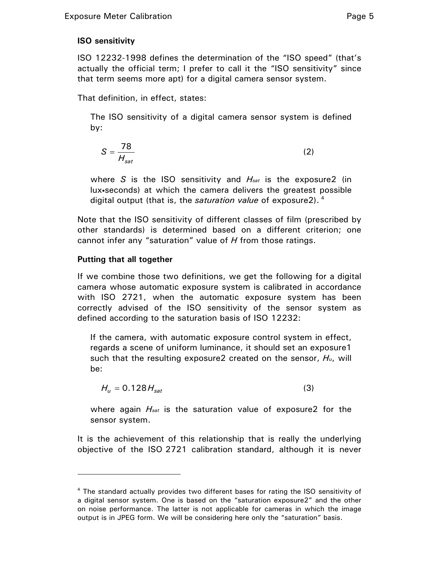# **ISO sensitivity**

ISO 12232-1998 defines the determination of the "ISO speed" (that's actually the official term; I prefer to call it the "ISO sensitivity" since that term seems more apt) for a digital camera sensor system.

That definition, in effect, states:

The ISO sensitivity of a digital camera sensor system is defined by:

$$
S = \frac{78}{H_{sat}}\tag{2}
$$

where *S* is the ISO sensitivity and *Hsat* is the exposure2 (in lux•seconds) at which the camera delivers the greatest possible digital output (that is, the *saturation value* of exposure2). 4

Note that the ISO sensitivity of different classes of film (prescribed by other standards) is determined based on a different criterion; one cannot infer any "saturation" value of *H* from those ratings.

# **Putting that all together**

 $\overline{a}$ 

If we combine those two definitions, we get the following for a digital camera whose automatic exposure system is calibrated in accordance with ISO 2721, when the automatic exposure system has been correctly advised of the ISO sensitivity of the sensor system as defined according to the saturation basis of ISO 12232:

If the camera, with automatic exposure control system in effect, regards a scene of uniform luminance, it should set an exposure1 such that the resulting exposure2 created on the sensor, *Hu*, will be:

$$
H_u = 0.128 H_{sat} \tag{3}
$$

where again *Hsat* is the saturation value of exposure2 for the sensor system.

It is the achievement of this relationship that is really the underlying objective of the ISO 2721 calibration standard, although it is never

<sup>&</sup>lt;sup>4</sup> The standard actually provides two different bases for rating the ISO sensitivity of a digital sensor system. One is based on the "saturation exposure2" and the other on noise performance. The latter is not applicable for cameras in which the image output is in JPEG form. We will be considering here only the "saturation" basis.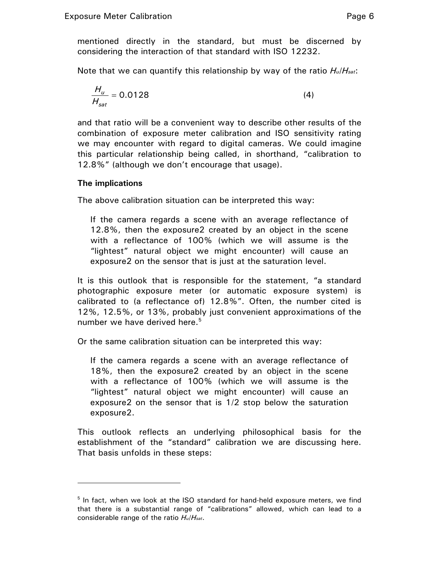mentioned directly in the standard, but must be discerned by considering the interaction of that standard with ISO 12232.

Note that we can quantify this relationship by way of the ratio *Hu*/*Hsat*:

$$
\frac{H_u}{H_{sat}} = 0.0128\tag{4}
$$

and that ratio will be a convenient way to describe other results of the combination of exposure meter calibration and ISO sensitivity rating we may encounter with regard to digital cameras. We could imagine this particular relationship being called, in shorthand, "calibration to 12.8%" (although we don't encourage that usage).

## **The implications**

-

The above calibration situation can be interpreted this way:

If the camera regards a scene with an average reflectance of 12.8%, then the exposure2 created by an object in the scene with a reflectance of 100% (which we will assume is the "lightest" natural object we might encounter) will cause an exposure2 on the sensor that is just at the saturation level.

It is this outlook that is responsible for the statement, "a standard photographic exposure meter (or automatic exposure system) is calibrated to (a reflectance of) 12.8%". Often, the number cited is 12%, 12.5%, or 13%, probably just convenient approximations of the number we have derived here. $5$ 

Or the same calibration situation can be interpreted this way:

If the camera regards a scene with an average reflectance of 18%, then the exposure2 created by an object in the scene with a reflectance of 100% (which we will assume is the "lightest" natural object we might encounter) will cause an exposure2 on the sensor that is 1/2 stop below the saturation exposure2.

This outlook reflects an underlying philosophical basis for the establishment of the "standard" calibration we are discussing here. That basis unfolds in these steps:

<sup>&</sup>lt;sup>5</sup> In fact, when we look at the ISO standard for hand-held exposure meters, we find that there is a substantial range of "calibrations" allowed, which can lead to a considerable range of the ratio *Hu*/*Hsat*.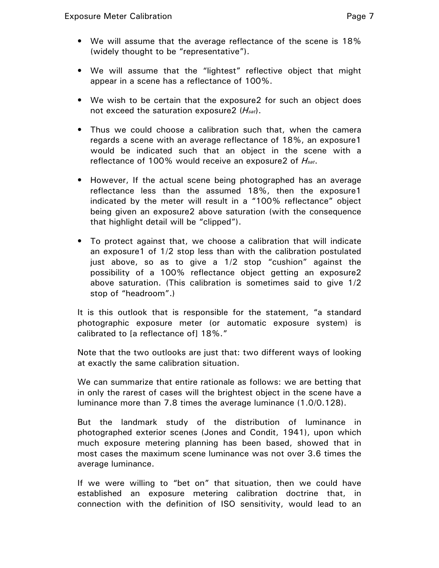- We will assume that the average reflectance of the scene is 18% (widely thought to be "representative").
- We will assume that the "lightest" reflective object that might appear in a scene has a reflectance of 100%.
- We wish to be certain that the exposure2 for such an object does not exceed the saturation exposure2 (*Hsat*).
- Thus we could choose a calibration such that, when the camera regards a scene with an average reflectance of 18%, an exposure1 would be indicated such that an object in the scene with a reflectance of 100% would receive an exposure2 of *Hsat*.
- However, If the actual scene being photographed has an average reflectance less than the assumed 18%, then the exposure1 indicated by the meter will result in a "100% reflectance" object being given an exposure2 above saturation (with the consequence that highlight detail will be "clipped").
- To protect against that, we choose a calibration that will indicate an exposure1 of 1/2 stop less than with the calibration postulated just above, so as to give a 1/2 stop "cushion" against the possibility of a 100% reflectance object getting an exposure2 above saturation. (This calibration is sometimes said to give 1/2 stop of "headroom".)

It is this outlook that is responsible for the statement, "a standard photographic exposure meter (or automatic exposure system) is calibrated to [a reflectance of] 18%."

Note that the two outlooks are just that: two different ways of looking at exactly the same calibration situation.

We can summarize that entire rationale as follows: we are betting that in only the rarest of cases will the brightest object in the scene have a luminance more than 7.8 times the average luminance (1.0/0.128).

But the landmark study of the distribution of luminance in photographed exterior scenes (Jones and Condit, 1941), upon which much exposure metering planning has been based, showed that in most cases the maximum scene luminance was not over 3.6 times the average luminance.

If we were willing to "bet on" that situation, then we could have established an exposure metering calibration doctrine that, in connection with the definition of ISO sensitivity, would lead to an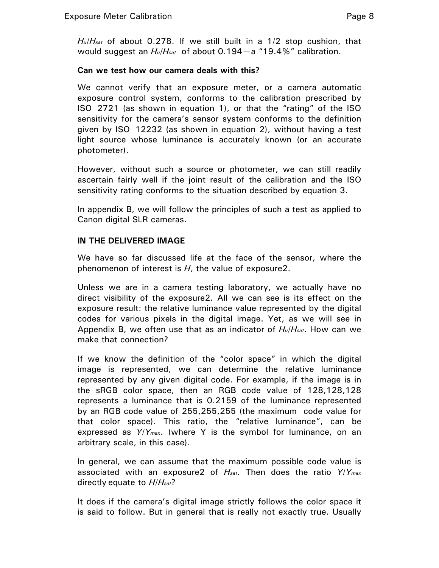*Hu*/*Hsat* of about 0.278. If we still built in a 1/2 stop cushion, that would suggest an *Hu*/*Hsat* of about 0.194—a "19.4%" calibration.

### **Can we test how our camera deals with this?**

We cannot verify that an exposure meter, or a camera automatic exposure control system, conforms to the calibration prescribed by ISO 2721 (as shown in equation 1), or that the "rating" of the ISO sensitivity for the camera's sensor system conforms to the definition given by ISO 12232 (as shown in equation 2), without having a test light source whose luminance is accurately known (or an accurate photometer).

However, without such a source or photometer, we can still readily ascertain fairly well if the joint result of the calibration and the ISO sensitivity rating conforms to the situation described by equation 3.

In appendix B, we will follow the principles of such a test as applied to Canon digital SLR cameras.

## **IN THE DELIVERED IMAGE**

We have so far discussed life at the face of the sensor, where the phenomenon of interest is *H*, the value of exposure2.

Unless we are in a camera testing laboratory, we actually have no direct visibility of the exposure2. All we can see is its effect on the exposure result: the relative luminance value represented by the digital codes for various pixels in the digital image. Yet, as we will see in Appendix B, we often use that as an indicator of *Hu*/*Hsat*. How can we make that connection?

If we know the definition of the "color space" in which the digital image is represented, we can determine the relative luminance represented by any given digital code. For example, if the image is in the sRGB color space, then an RGB code value of 128,128,128 represents a luminance that is 0.2159 of the luminance represented by an RGB code value of 255,255,255 (the maximum code value for that color space). This ratio, the "relative luminance", can be expressed as *Y*/*Ymax*. (where Y is the symbol for luminance, on an arbitrary scale, in this case).

In general, we can assume that the maximum possible code value is associated with an exposure2 of *Hsat*. Then does the ratio *Y*/*Ymax*  directly equate to *H*/*Hsat*?

It does if the camera's digital image strictly follows the color space it is said to follow. But in general that is really not exactly true. Usually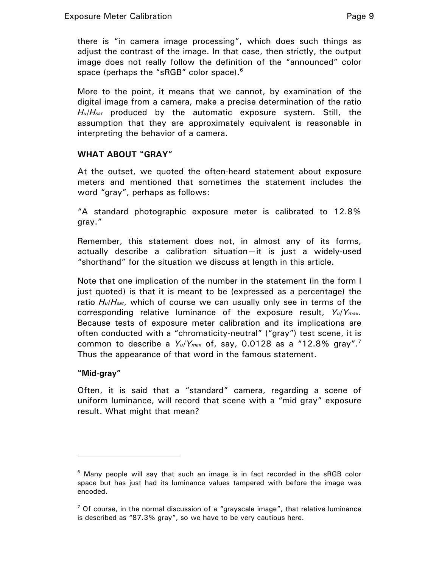there is "in camera image processing", which does such things as adjust the contrast of the image. In that case, then strictly, the output image does not really follow the definition of the "announced" color space (perhaps the "sRGB" color space).<sup>6</sup>

More to the point, it means that we cannot, by examination of the digital image from a camera, make a precise determination of the ratio *Hu*/*Hsat* produced by the automatic exposure system. Still, the assumption that they are approximately equivalent is reasonable in interpreting the behavior of a camera.

# **WHAT ABOUT "GRAY"**

At the outset, we quoted the often-heard statement about exposure meters and mentioned that sometimes the statement includes the word "gray", perhaps as follows:

"A standard photographic exposure meter is calibrated to 12.8% gray."

Remember, this statement does not, in almost any of its forms, actually describe a calibration situation—it is just a widely-used "shorthand" for the situation we discuss at length in this article.

Note that one implication of the number in the statement (in the form I just quoted) is that it is meant to be (expressed as a percentage) the ratio *Hu*/*Hsat*, which of course we can usually only see in terms of the corresponding relative luminance of the exposure result, *Yu*/*Ymax*. Because tests of exposure meter calibration and its implications are often conducted with a "chromaticity-neutral" ("gray") test scene, it is common to describe a *Yu*/*Ymax* of, say, 0.0128 as a "12.8% gray".7 Thus the appearance of that word in the famous statement.

## **"Mid-gray"**

 $\overline{a}$ 

Often, it is said that a "standard" camera, regarding a scene of uniform luminance, will record that scene with a "mid gray" exposure result. What might that mean?

 $^6$  Many people will say that such an image is in fact recorded in the sRGB color space but has just had its luminance values tampered with before the image was encoded.

<sup>&</sup>lt;sup>7</sup> Of course, in the normal discussion of a "grayscale image", that relative luminance is described as "87.3% gray", so we have to be very cautious here.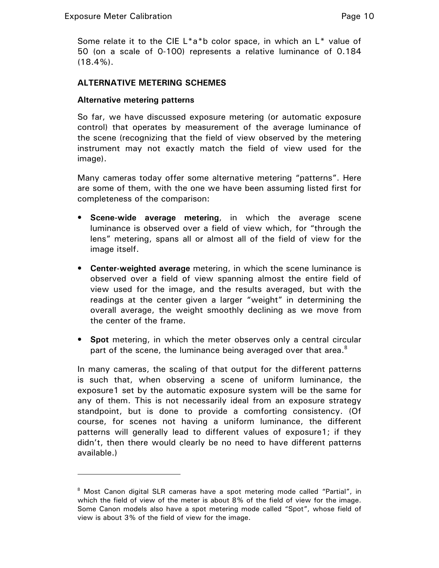$\overline{a}$ 

Some relate it to the CIE  $L^*a^*b$  color space, in which an  $L^*$  value of 50 (on a scale of 0-100) represents a relative luminance of 0.184  $(18.4\%)$ .

#### **ALTERNATIVE METERING SCHEMES**

#### **Alternative metering patterns**

So far, we have discussed exposure metering (or automatic exposure control) that operates by measurement of the average luminance of the scene (recognizing that the field of view observed by the metering instrument may not exactly match the field of view used for the image).

Many cameras today offer some alternative metering "patterns". Here are some of them, with the one we have been assuming listed first for completeness of the comparison:

- **Scene-wide average metering**, in which the average scene luminance is observed over a field of view which, for "through the lens" metering, spans all or almost all of the field of view for the image itself.
- **Center-weighted average** metering, in which the scene luminance is observed over a field of view spanning almost the entire field of view used for the image, and the results averaged, but with the readings at the center given a larger "weight" in determining the overall average, the weight smoothly declining as we move from the center of the frame.
- **Spot** metering, in which the meter observes only a central circular part of the scene, the luminance being averaged over that area.<sup>8</sup>

In many cameras, the scaling of that output for the different patterns is such that, when observing a scene of uniform luminance, the exposure1 set by the automatic exposure system will be the same for any of them. This is not necessarily ideal from an exposure strategy standpoint, but is done to provide a comforting consistency. (Of course, for scenes not having a uniform luminance, the different patterns will generally lead to different values of exposure1; if they didn't, then there would clearly be no need to have different patterns available.)

<sup>&</sup>lt;sup>8</sup> Most Canon digital SLR cameras have a spot metering mode called "Partial", in which the field of view of the meter is about 8% of the field of view for the image. Some Canon models also have a spot metering mode called "Spot", whose field of view is about 3% of the field of view for the image.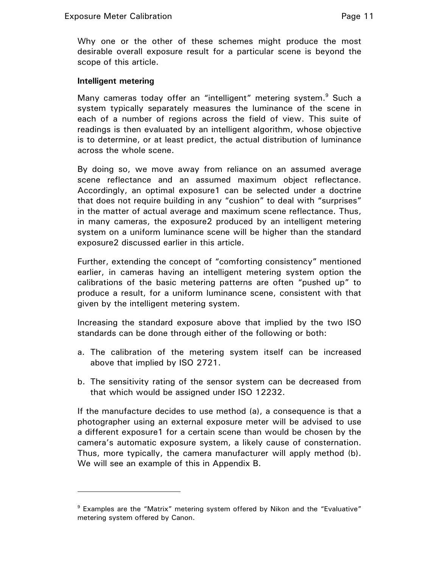Why one or the other of these schemes might produce the most desirable overall exposure result for a particular scene is beyond the scope of this article.

#### **Intelligent metering**

 $\overline{a}$ 

Many cameras today offer an "intelligent" metering system.<sup>9</sup> Such a system typically separately measures the luminance of the scene in each of a number of regions across the field of view. This suite of readings is then evaluated by an intelligent algorithm, whose objective is to determine, or at least predict, the actual distribution of luminance across the whole scene.

By doing so, we move away from reliance on an assumed average scene reflectance and an assumed maximum object reflectance. Accordingly, an optimal exposure1 can be selected under a doctrine that does not require building in any "cushion" to deal with "surprises" in the matter of actual average and maximum scene reflectance. Thus, in many cameras, the exposure2 produced by an intelligent metering system on a uniform luminance scene will be higher than the standard exposure2 discussed earlier in this article.

Further, extending the concept of "comforting consistency" mentioned earlier, in cameras having an intelligent metering system option the calibrations of the basic metering patterns are often "pushed up" to produce a result, for a uniform luminance scene, consistent with that given by the intelligent metering system.

Increasing the standard exposure above that implied by the two ISO standards can be done through either of the following or both:

- a. The calibration of the metering system itself can be increased above that implied by ISO 2721.
- b. The sensitivity rating of the sensor system can be decreased from that which would be assigned under ISO 12232.

If the manufacture decides to use method (a), a consequence is that a photographer using an external exposure meter will be advised to use a different exposure1 for a certain scene than would be chosen by the camera's automatic exposure system, a likely cause of consternation. Thus, more typically, the camera manufacturer will apply method (b). We will see an example of this in Appendix B.

<sup>&</sup>lt;sup>9</sup> Examples are the "Matrix" metering system offered by Nikon and the "Evaluative" metering system offered by Canon.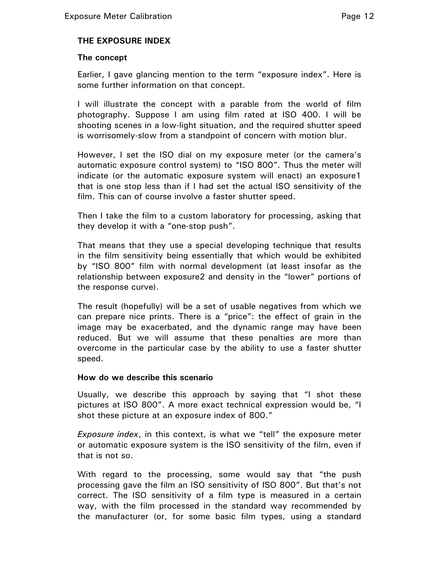# **THE EXPOSURE INDEX**

#### **The concept**

Earlier, I gave glancing mention to the term "exposure index". Here is some further information on that concept.

I will illustrate the concept with a parable from the world of film photography. Suppose I am using film rated at ISO 400. I will be shooting scenes in a low-light situation, and the required shutter speed is worrisomely-slow from a standpoint of concern with motion blur.

However, I set the ISO dial on my exposure meter (or the camera's automatic exposure control system) to "ISO 800". Thus the meter will indicate (or the automatic exposure system will enact) an exposure1 that is one stop less than if I had set the actual ISO sensitivity of the film. This can of course involve a faster shutter speed.

Then I take the film to a custom laboratory for processing, asking that they develop it with a "one-stop push".

That means that they use a special developing technique that results in the film sensitivity being essentially that which would be exhibited by "ISO 800" film with normal development (at least insofar as the relationship between exposure2 and density in the "lower" portions of the response curve).

The result (hopefully) will be a set of usable negatives from which we can prepare nice prints. There is a "price": the effect of grain in the image may be exacerbated, and the dynamic range may have been reduced. But we will assume that these penalties are more than overcome in the particular case by the ability to use a faster shutter speed.

#### **How do we describe this scenario**

Usually, we describe this approach by saying that "I shot these pictures at ISO 800". A more exact technical expression would be, "I shot these picture at an exposure index of 800."

*Exposure index*, in this context, is what we "tell" the exposure meter or automatic exposure system is the ISO sensitivity of the film, even if that is not so.

With regard to the processing, some would say that "the push processing gave the film an ISO sensitivity of ISO 800". But that's not correct. The ISO sensitivity of a film type is measured in a certain way, with the film processed in the standard way recommended by the manufacturer (or, for some basic film types, using a standard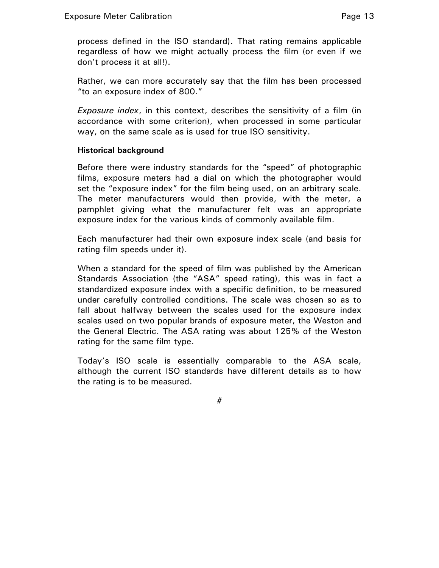process defined in the ISO standard). That rating remains applicable regardless of how we might actually process the film (or even if we don't process it at all!).

Rather, we can more accurately say that the film has been processed "to an exposure index of 800."

*Exposure index*, in this context, describes the sensitivity of a film (in accordance with some criterion), when processed in some particular way, on the same scale as is used for true ISO sensitivity.

#### **Historical background**

Before there were industry standards for the "speed" of photographic films, exposure meters had a dial on which the photographer would set the "exposure index" for the film being used, on an arbitrary scale. The meter manufacturers would then provide, with the meter, a pamphlet giving what the manufacturer felt was an appropriate exposure index for the various kinds of commonly available film.

Each manufacturer had their own exposure index scale (and basis for rating film speeds under it).

When a standard for the speed of film was published by the American Standards Association (the "ASA" speed rating), this was in fact a standardized exposure index with a specific definition, to be measured under carefully controlled conditions. The scale was chosen so as to fall about halfway between the scales used for the exposure index scales used on two popular brands of exposure meter, the Weston and the General Electric. The ASA rating was about 125% of the Weston rating for the same film type.

Today's ISO scale is essentially comparable to the ASA scale, although the current ISO standards have different details as to how the rating is to be measured.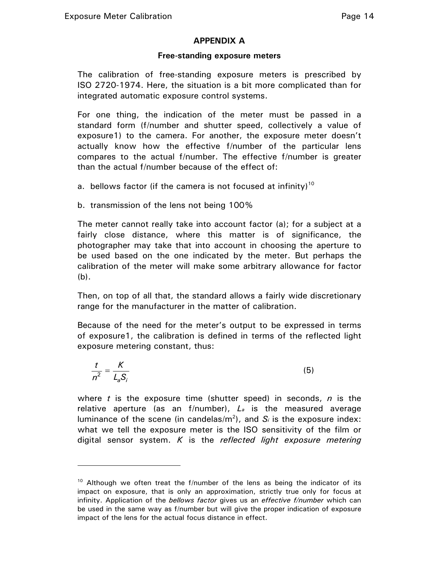$\overline{a}$ 

# **APPENDIX A**

#### **Free-standing exposure meters**

The calibration of free-standing exposure meters is prescribed by ISO 2720-1974. Here, the situation is a bit more complicated than for integrated automatic exposure control systems.

For one thing, the indication of the meter must be passed in a standard form (f/number and shutter speed, collectively a value of exposure1) to the camera. For another, the exposure meter doesn't actually know how the effective f/number of the particular lens compares to the actual f/number. The effective f/number is greater than the actual f/number because of the effect of:

- a. bellows factor (if the camera is not focused at infinity)<sup>10</sup>
- b. transmission of the lens not being 100%

The meter cannot really take into account factor (a); for a subject at a fairly close distance, where this matter is of significance, the photographer may take that into account in choosing the aperture to be used based on the one indicated by the meter. But perhaps the calibration of the meter will make some arbitrary allowance for factor (b).

Then, on top of all that, the standard allows a fairly wide discretionary range for the manufacturer in the matter of calibration.

Because of the need for the meter's output to be expressed in terms of exposure1, the calibration is defined in terms of the reflected light exposure metering constant, thus:

$$
\frac{t}{n^2} = \frac{K}{L_s S_i} \tag{5}
$$

where *t* is the exposure time (shutter speed) in seconds, *n* is the relative aperture (as an f/number), *La* is the measured average luminance of the scene (in candelas/m<sup>2</sup>), and  $S_i$  is the exposure index: what we tell the exposure meter is the ISO sensitivity of the film or digital sensor system. *K* is the *reflected light exposure metering* 

 $10$  Although we often treat the f/number of the lens as being the indicator of its impact on exposure, that is only an approximation, strictly true only for focus at infinity. Application of the *bellows factor* gives us an *effective f/number* which can be used in the same way as f/number but will give the proper indication of exposure impact of the lens for the actual focus distance in effect.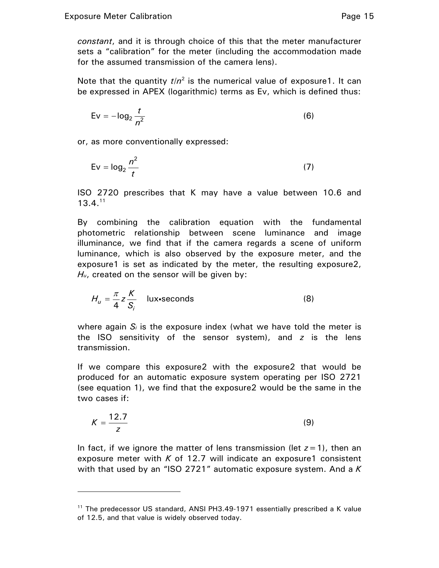$\overline{a}$ 

*constant*, and it is through choice of this that the meter manufacturer sets a "calibration" for the meter (including the accommodation made for the assumed transmission of the camera lens).

Note that the quantity  $t/n^2$  is the numerical value of exposure1. It can be expressed in APEX (logarithmic) terms as Ev, which is defined thus:

$$
Ev = -\log_2 \frac{t}{n^2}
$$
 (6)

or, as more conventionally expressed:

$$
Ev = \log_2 \frac{n^2}{t}
$$
 (7)

ISO 2720 prescribes that K may have a value between 10.6 and  $13.4.<sup>11</sup>$ 

By combining the calibration equation with the fundamental photometric relationship between scene luminance and image illuminance, we find that if the camera regards a scene of uniform luminance, which is also observed by the exposure meter, and the exposure1 is set as indicated by the meter, the resulting exposure2, H<sub>u</sub>, created on the sensor will be given by:

$$
H_u = \frac{\pi}{4} z \frac{K}{S_i} \quad \text{lux-secons}
$$
 (8)

where again *Si* is the exposure index (what we have told the meter is the ISO sensitivity of the sensor system), and *z* is the lens transmission.

If we compare this exposure2 with the exposure2 that would be produced for an automatic exposure system operating per ISO 2721 (see equation 1), we find that the exposure2 would be the same in the two cases if:

$$
K = \frac{12.7}{z}
$$
 (9)

In fact, if we ignore the matter of lens transmission (let *z*=1), then an exposure meter with  $K$  of 12.7 will indicate an exposure1 consistent with that used by an "ISO 2721" automatic exposure system. And a *K*

<sup>&</sup>lt;sup>11</sup> The predecessor US standard, ANSI PH3.49-1971 essentially prescribed a K value of 12.5, and that value is widely observed today.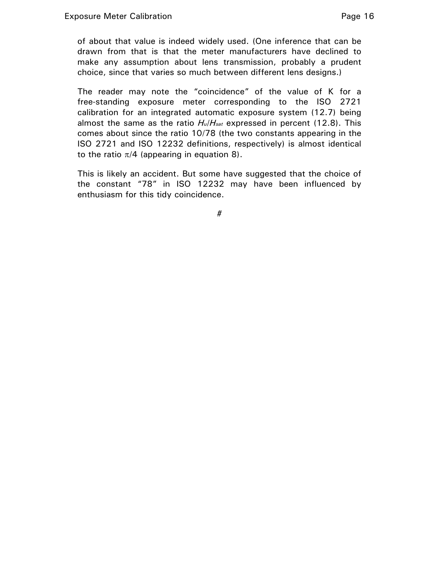of about that value is indeed widely used. (One inference that can be drawn from that is that the meter manufacturers have declined to make any assumption about lens transmission, probably a prudent choice, since that varies so much between different lens designs.)

The reader may note the "coincidence" of the value of K for a free-standing exposure meter corresponding to the ISO 2721 calibration for an integrated automatic exposure system (12.7) being almost the same as the ratio *Hu*/*Hsat* expressed in percent (12.8). This comes about since the ratio 10/78 (the two constants appearing in the ISO 2721 and ISO 12232 definitions, respectively) is almost identical to the ratio  $\pi/4$  (appearing in equation 8).

This is likely an accident. But some have suggested that the choice of the constant "78" in ISO 12232 may have been influenced by enthusiasm for this tidy coincidence.

#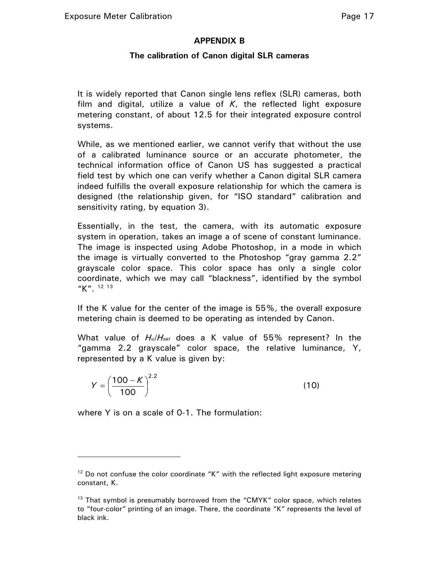# **APPENDIX B**

# **The calibration of Canon digital SLR cameras**

It is widely reported that Canon single lens reflex (SLR) cameras, both film and digital, utilize a value of *K*, the reflected light exposure metering constant, of about 12.5 for their integrated exposure control systems.

While, as we mentioned earlier, we cannot verify that without the use of a calibrated luminance source or an accurate photometer, the technical information office of Canon US has suggested a practical field test by which one can verify whether a Canon digital SLR camera indeed fulfills the overall exposure relationship for which the camera is designed (the relationship given, for "ISO standard" calibration and sensitivity rating, by equation 3).

Essentially, in the test, the camera, with its automatic exposure system in operation, takes an image a of scene of constant luminance. The image is inspected using Adobe Photoshop, in a mode in which the image is virtually converted to the Photoshop "gray gamma 2.2" grayscale color space. This color space has only a single color coordinate, which we may call "blackness", identified by the symbol "K". <sup>12 13</sup>

If the K value for the center of the image is 55%, the overall exposure metering chain is deemed to be operating as intended by Canon.

What value of *Hu*/*Hsat* does a K value of 55% represent? In the "gamma 2.2 grayscale" color space, the relative luminance, Y, represented by a K value is given by:

$$
Y = \left(\frac{100 - K}{100}\right)^{2.2}
$$
 (10)

where Y is on a scale of 0-1. The formulation:

 $\overline{a}$ 

 $12$  Do not confuse the color coordinate "K" with the reflected light exposure metering constant, K.

<sup>&</sup>lt;sup>13</sup> That symbol is presumably borrowed from the "CMYK" color space, which relates to "four-color" printing of an image. There, the coordinate "K" represents the level of black ink.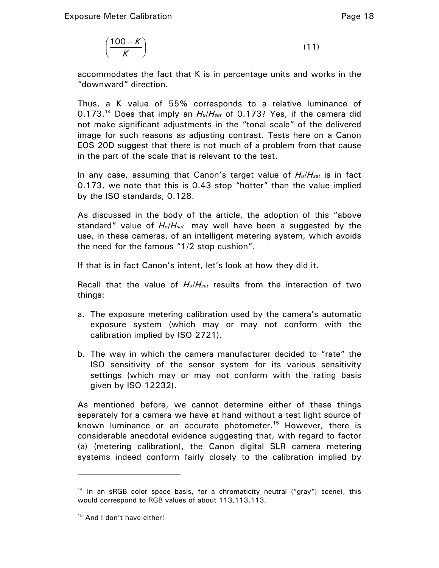$$
\left(\frac{100 - K}{K}\right) \tag{11}
$$

accommodates the fact that K is in percentage units and works in the "downward" direction.

Thus, a K value of 55% corresponds to a relative luminance of 0.173.14 Does that imply an *Hu*/*Hsat* of 0.173? Yes, if the camera did not make significant adjustments in the "tonal scale" of the delivered image for such reasons as adjusting contrast. Tests here on a Canon EOS 20D suggest that there is not much of a problem from that cause in the part of the scale that is relevant to the test.

In any case, assuming that Canon's target value of *Hu*/*Hsat* is in fact 0.173, we note that this is 0.43 stop "hotter" than the value implied by the ISO standards, 0.128.

As discussed in the body of the article, the adoption of this "above standard" value of *Hu*/*Hsat* may well have been a suggested by the use, in these cameras, of an intelligent metering system, which avoids the need for the famous "1/2 stop cushion".

If that is in fact Canon's intent, let's look at how they did it.

Recall that the value of *Hu*/*Hsat* results from the interaction of two things:

- a. The exposure metering calibration used by the camera's automatic exposure system (which may or may not conform with the calibration implied by ISO 2721).
- b. The way in which the camera manufacturer decided to "rate" the ISO sensitivity of the sensor system for its various sensitivity settings (which may or may not conform with the rating basis given by ISO 12232).

As mentioned before, we cannot determine either of these things separately for a camera we have at hand without a test light source of known luminance or an accurate photometer.<sup>15</sup> However, there is considerable anecdotal evidence suggesting that, with regard to factor (a) (metering calibration), the Canon digital SLR camera metering systems indeed conform fairly closely to the calibration implied by

-

<sup>&</sup>lt;sup>14</sup> In an sRGB color space basis, for a chromaticity neutral ("gray") scene), this would correspond to RGB values of about 113,113,113.

<sup>&</sup>lt;sup>15</sup> And I don't have either!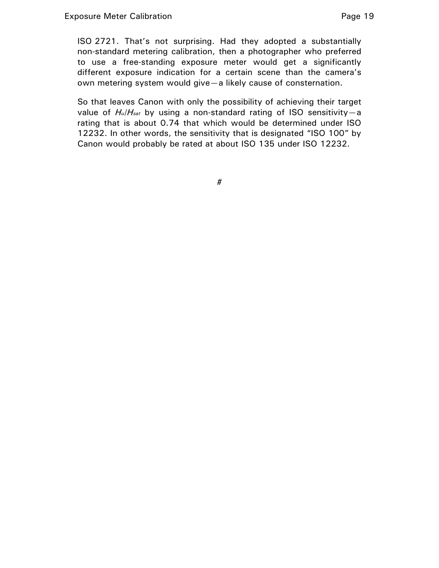ISO 2721. That's not surprising. Had they adopted a substantially non-standard metering calibration, then a photographer who preferred to use a free-standing exposure meter would get a significantly different exposure indication for a certain scene than the camera's own metering system would give—a likely cause of consternation.

So that leaves Canon with only the possibility of achieving their target value of *Hu*/*Hsat* by using a non-standard rating of ISO sensitivity—a rating that is about 0.74 that which would be determined under ISO 12232. In other words, the sensitivity that is designated "ISO 100" by Canon would probably be rated at about ISO 135 under ISO 12232.

#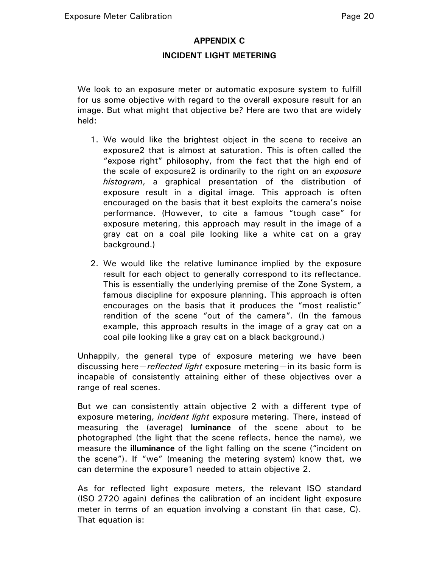# **APPENDIX C**

#### **INCIDENT LIGHT METERING**

We look to an exposure meter or automatic exposure system to fulfill for us some objective with regard to the overall exposure result for an image. But what might that objective be? Here are two that are widely held:

- 1. We would like the brightest object in the scene to receive an exposure2 that is almost at saturation. This is often called the "expose right" philosophy, from the fact that the high end of the scale of exposure2 is ordinarily to the right on an *exposure histogram*, a graphical presentation of the distribution of exposure result in a digital image. This approach is often encouraged on the basis that it best exploits the camera's noise performance. (However, to cite a famous "tough case" for exposure metering, this approach may result in the image of a gray cat on a coal pile looking like a white cat on a gray background.)
- 2. We would like the relative luminance implied by the exposure result for each object to generally correspond to its reflectance. This is essentially the underlying premise of the Zone System, a famous discipline for exposure planning. This approach is often encourages on the basis that it produces the "most realistic" rendition of the scene "out of the camera". (In the famous example, this approach results in the image of a gray cat on a coal pile looking like a gray cat on a black background.)

Unhappily, the general type of exposure metering we have been discussing here—*reflected light* exposure metering—in its basic form is incapable of consistently attaining either of these objectives over a range of real scenes.

But we can consistently attain objective 2 with a different type of exposure metering, *incident light* exposure metering. There, instead of measuring the (average) **luminance** of the scene about to be photographed (the light that the scene reflects, hence the name), we measure the **illuminance** of the light falling on the scene ("incident on the scene"). If "we" (meaning the metering system) know that, we can determine the exposure1 needed to attain objective 2.

As for reflected light exposure meters, the relevant ISO standard (ISO 2720 again) defines the calibration of an incident light exposure meter in terms of an equation involving a constant (in that case, C). That equation is: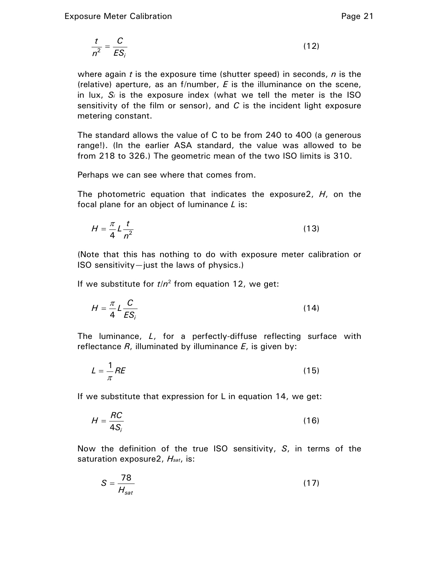$$
\frac{t}{n^2} = \frac{C}{ES_i}
$$
 (12)

where again *t* is the exposure time (shutter speed) in seconds, *n* is the (relative) aperture, as an f/number, *E* is the illuminance on the scene, in lux, *Si* is the exposure index (what we tell the meter is the ISO sensitivity of the film or sensor), and *C* is the incident light exposure metering constant.

The standard allows the value of C to be from 240 to 400 (a generous range!). (In the earlier ASA standard, the value was allowed to be from 218 to 326.) The geometric mean of the two ISO limits is 310.

Perhaps we can see where that comes from.

The photometric equation that indicates the exposure2, *H*, on the focal plane for an object of luminance *L* is:

$$
H = \frac{\pi}{4} L \frac{t}{n^2}
$$
 (13)

(Note that this has nothing to do with exposure meter calibration or ISO sensitivity—just the laws of physics.)

If we substitute for  $t/n^2$  from equation 12, we get:

$$
H = \frac{\pi}{4} L \frac{C}{ES_i}
$$
 (14)

The luminance, *L*, for a perfectly-diffuse reflecting surface with reflectance *R*, illuminated by illuminance *E*, is given by:

$$
L = \frac{1}{\pi}RE
$$
 (15)

If we substitute that expression for L in equation 14, we get:

$$
H = \frac{RC}{4S_i}
$$
 (16)

Now the definition of the true ISO sensitivity, *S*, in terms of the saturation exposure2, *Hsat*, is:

$$
S = \frac{78}{H_{sat}}\tag{17}
$$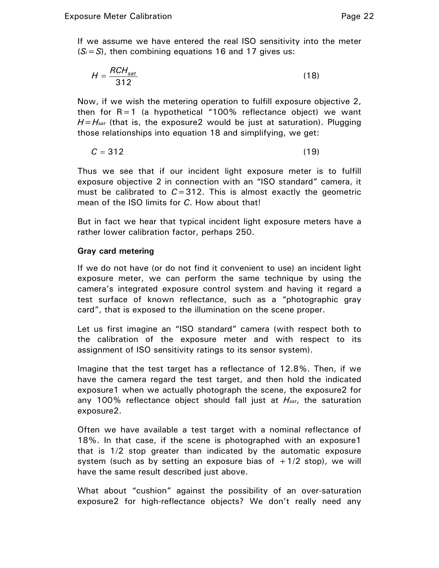If we assume we have entered the real ISO sensitivity into the meter (*Si*=*S*), then combining equations 16 and 17 gives us:

$$
H = \frac{RCH_{sat}}{312} \tag{18}
$$

Now, if we wish the metering operation to fulfill exposure objective 2, then for  $R=1$  (a hypothetical "100% reflectance object) we want *H*=*Hsat* (that is, the exposure2 would be just at saturation). Plugging those relationships into equation 18 and simplifying, we get:

$$
C = 312 \tag{19}
$$

Thus we see that if our incident light exposure meter is to fulfill exposure objective 2 in connection with an "ISO standard" camera, it must be calibrated to  $C = 312$ . This is almost exactly the geometric mean of the ISO limits for *C*. How about that!

But in fact we hear that typical incident light exposure meters have a rather lower calibration factor, perhaps 250.

#### **Gray card metering**

If we do not have (or do not find it convenient to use) an incident light exposure meter, we can perform the same technique by using the camera's integrated exposure control system and having it regard a test surface of known reflectance, such as a "photographic gray card", that is exposed to the illumination on the scene proper.

Let us first imagine an "ISO standard" camera (with respect both to the calibration of the exposure meter and with respect to its assignment of ISO sensitivity ratings to its sensor system).

Imagine that the test target has a reflectance of 12.8%. Then, if we have the camera regard the test target, and then hold the indicated exposure1 when we actually photograph the scene, the exposure2 for any 100% reflectance object should fall just at *Hsat*, the saturation exposure2.

Often we have available a test target with a nominal reflectance of 18%. In that case, if the scene is photographed with an exposure1 that is 1/2 stop greater than indicated by the automatic exposure system (such as by setting an exposure bias of  $+1/2$  stop), we will have the same result described just above.

What about "cushion" against the possibility of an over-saturation exposure2 for high-reflectance objects? We don't really need any